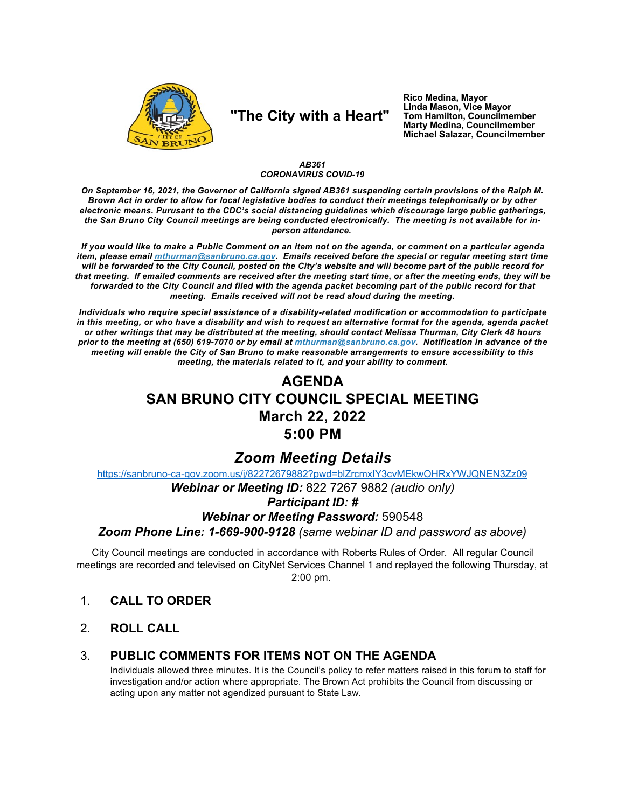

# "The City with a Heart"

Rico Medina, Mayor Linda Mason, Vice Mayor Tom Hamilton, Councilmember<br>Marty Medina, Councilmember Michael Salazar, Councilmember

#### AB361 **CORONAVIRUS COVID-19**

On September 16, 2021, the Governor of California signed AB361 suspending certain provisions of the Ralph M. Brown Act in order to allow for local legislative bodies to conduct their meetings telephonically or by other electronic means. Purusant to the CDC's social distancing guidelines which discourage large public gatherings, the San Bruno City Council meetings are being conducted electronically. The meeting is not available for inperson attendance.

If you would like to make a Public Comment on an item not on the agenda, or comment on a particular agenda item, please email *mthurman@sanbruno.ca.gov.* Emails received before the special or regular meeting start time will be forwarded to the City Council, posted on the City's website and will become part of the public record for that meeting. If emailed comments are received after the meeting start time, or after the meeting ends, they will be forwarded to the City Council and filed with the agenda packet becoming part of the public record for that meeting. Emails received will not be read aloud during the meeting.

Individuals who require special assistance of a disability-related modification or accommodation to participate in this meeting, or who have a disability and wish to request an alternative format for the agenda, agenda packet or other writings that may be distributed at the meeting, should contact Melissa Thurman, City Clerk 48 hours prior to the meeting at (650) 619-7070 or by email at mthurman@sanbruno.ca.gov. Notification in advance of the meeting will enable the City of San Bruno to make reasonable arrangements to ensure accessibility to this meeting, the materials related to it, and your ability to comment.

# **AGENDA SAN BRUNO CITY COUNCIL SPECIAL MEETING March 22, 2022**  $5:00$  PM

## **Zoom Meeting Details**

https://sanbruno-ca-gov.zoom.us/j/82272679882?pwd=blZrcmxlY3cvMEkwOHRxYWJQNEN3Zz09

Webinar or Meeting ID: 822 7267 9882 (audio only)

### **Participant ID: #**

### **Webinar or Meeting Password: 590548**

Zoom Phone Line: 1-669-900-9128 (same webinar ID and password as above)

City Council meetings are conducted in accordance with Roberts Rules of Order. All regular Council meetings are recorded and televised on CityNet Services Channel 1 and replayed the following Thursday, at  $2:00$  pm.

- $1<sup>1</sup>$ **CALL TO ORDER**
- $2<sup>1</sup>$ **ROLL CALL**

#### $3_{-}$ PUBLIC COMMENTS FOR ITEMS NOT ON THE AGENDA

Individuals allowed three minutes. It is the Council's policy to refer matters raised in this forum to staff for investigation and/or action where appropriate. The Brown Act prohibits the Council from discussing or acting upon any matter not agendized pursuant to State Law.